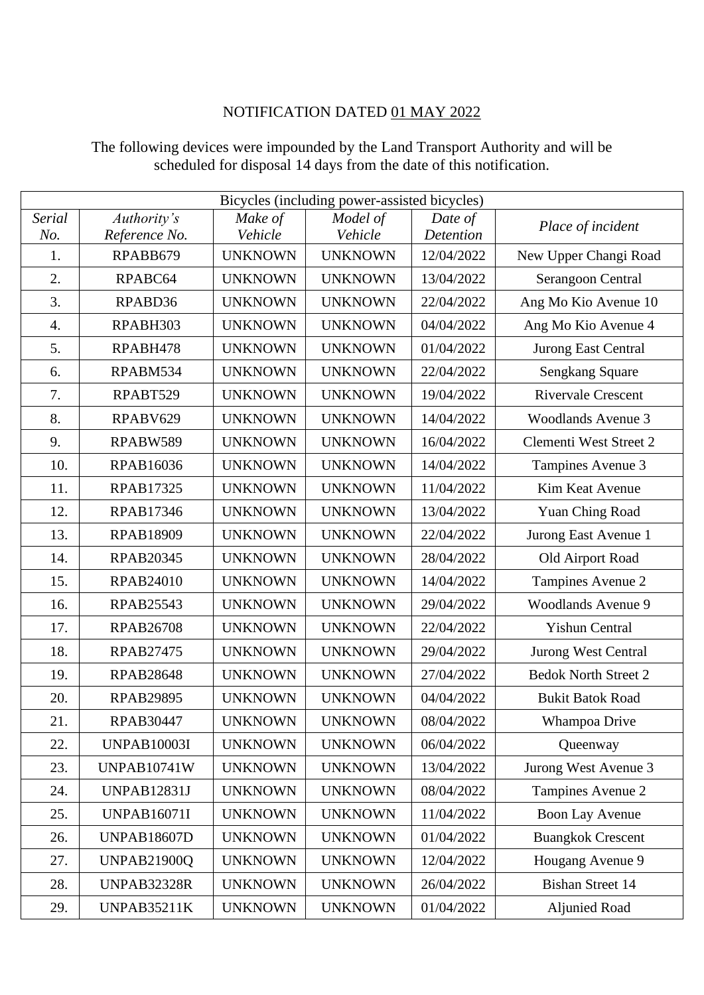## NOTIFICATION DATED 01 MAY 2022

| Bicycles (including power-assisted bicycles) |                    |                |                |            |                               |  |  |
|----------------------------------------------|--------------------|----------------|----------------|------------|-------------------------------|--|--|
| Serial                                       | Authority's        | Make of        | Model of       | Date of    | Place of incident             |  |  |
| No.                                          | Reference No.      | Vehicle        | Vehicle        | Detention  |                               |  |  |
| 1.                                           | RPABB679           | <b>UNKNOWN</b> | <b>UNKNOWN</b> | 12/04/2022 | New Upper Changi Road         |  |  |
| 2.                                           | RPABC64            | <b>UNKNOWN</b> | <b>UNKNOWN</b> | 13/04/2022 | Serangoon Central             |  |  |
| 3.                                           | RPABD36            | <b>UNKNOWN</b> | <b>UNKNOWN</b> | 22/04/2022 | Ang Mo Kio Avenue 10          |  |  |
| $\overline{4}$ .                             | RPABH303           | <b>UNKNOWN</b> | <b>UNKNOWN</b> | 04/04/2022 | Ang Mo Kio Avenue 4           |  |  |
| 5.                                           | RPABH478           | <b>UNKNOWN</b> | <b>UNKNOWN</b> | 01/04/2022 | <b>Jurong East Central</b>    |  |  |
| 6.                                           | RPABM534           | <b>UNKNOWN</b> | <b>UNKNOWN</b> | 22/04/2022 | Sengkang Square               |  |  |
| 7.                                           | RPABT529           | <b>UNKNOWN</b> | <b>UNKNOWN</b> | 19/04/2022 | <b>Rivervale Crescent</b>     |  |  |
| 8.                                           | RPABV629           | <b>UNKNOWN</b> | <b>UNKNOWN</b> | 14/04/2022 | <b>Woodlands Avenue 3</b>     |  |  |
| 9.                                           | RPABW589           | <b>UNKNOWN</b> | <b>UNKNOWN</b> | 16/04/2022 | <b>Clementi West Street 2</b> |  |  |
| 10.                                          | <b>RPAB16036</b>   | <b>UNKNOWN</b> | <b>UNKNOWN</b> | 14/04/2022 | Tampines Avenue 3             |  |  |
| 11.                                          | <b>RPAB17325</b>   | <b>UNKNOWN</b> | <b>UNKNOWN</b> | 11/04/2022 | Kim Keat Avenue               |  |  |
| 12.                                          | <b>RPAB17346</b>   | <b>UNKNOWN</b> | <b>UNKNOWN</b> | 13/04/2022 | Yuan Ching Road               |  |  |
| 13.                                          | <b>RPAB18909</b>   | <b>UNKNOWN</b> | <b>UNKNOWN</b> | 22/04/2022 | Jurong East Avenue 1          |  |  |
| 14.                                          | <b>RPAB20345</b>   | <b>UNKNOWN</b> | <b>UNKNOWN</b> | 28/04/2022 | Old Airport Road              |  |  |
| 15.                                          | <b>RPAB24010</b>   | <b>UNKNOWN</b> | <b>UNKNOWN</b> | 14/04/2022 | Tampines Avenue 2             |  |  |
| 16.                                          | <b>RPAB25543</b>   | <b>UNKNOWN</b> | <b>UNKNOWN</b> | 29/04/2022 | <b>Woodlands Avenue 9</b>     |  |  |
| 17.                                          | <b>RPAB26708</b>   | <b>UNKNOWN</b> | <b>UNKNOWN</b> | 22/04/2022 | <b>Yishun Central</b>         |  |  |
| 18.                                          | <b>RPAB27475</b>   | <b>UNKNOWN</b> | <b>UNKNOWN</b> | 29/04/2022 | Jurong West Central           |  |  |
| 19.                                          | <b>RPAB28648</b>   | <b>UNKNOWN</b> | <b>UNKNOWN</b> | 27/04/2022 | <b>Bedok North Street 2</b>   |  |  |
| 20.                                          | <b>RPAB29895</b>   | <b>UNKNOWN</b> | <b>UNKNOWN</b> | 04/04/2022 | <b>Bukit Batok Road</b>       |  |  |
| 21.                                          | <b>RPAB30447</b>   | <b>UNKNOWN</b> | <b>UNKNOWN</b> | 08/04/2022 | Whampoa Drive                 |  |  |
| 22.                                          | <b>UNPAB10003I</b> | <b>UNKNOWN</b> | <b>UNKNOWN</b> | 06/04/2022 | Queenway                      |  |  |
| 23.                                          | <b>UNPAB10741W</b> | <b>UNKNOWN</b> | <b>UNKNOWN</b> | 13/04/2022 | Jurong West Avenue 3          |  |  |
| 24.                                          | <b>UNPAB12831J</b> | <b>UNKNOWN</b> | <b>UNKNOWN</b> | 08/04/2022 | Tampines Avenue 2             |  |  |
| 25.                                          | <b>UNPAB16071I</b> | <b>UNKNOWN</b> | <b>UNKNOWN</b> | 11/04/2022 | <b>Boon Lay Avenue</b>        |  |  |
| 26.                                          | <b>UNPAB18607D</b> | <b>UNKNOWN</b> | <b>UNKNOWN</b> | 01/04/2022 | <b>Buangkok Crescent</b>      |  |  |
| 27.                                          | <b>UNPAB21900Q</b> | <b>UNKNOWN</b> | <b>UNKNOWN</b> | 12/04/2022 | Hougang Avenue 9              |  |  |
| 28.                                          | <b>UNPAB32328R</b> | <b>UNKNOWN</b> | <b>UNKNOWN</b> | 26/04/2022 | <b>Bishan Street 14</b>       |  |  |
| 29.                                          | <b>UNPAB35211K</b> | <b>UNKNOWN</b> | <b>UNKNOWN</b> | 01/04/2022 | <b>Aljunied Road</b>          |  |  |

## The following devices were impounded by the Land Transport Authority and will be scheduled for disposal 14 days from the date of this notification.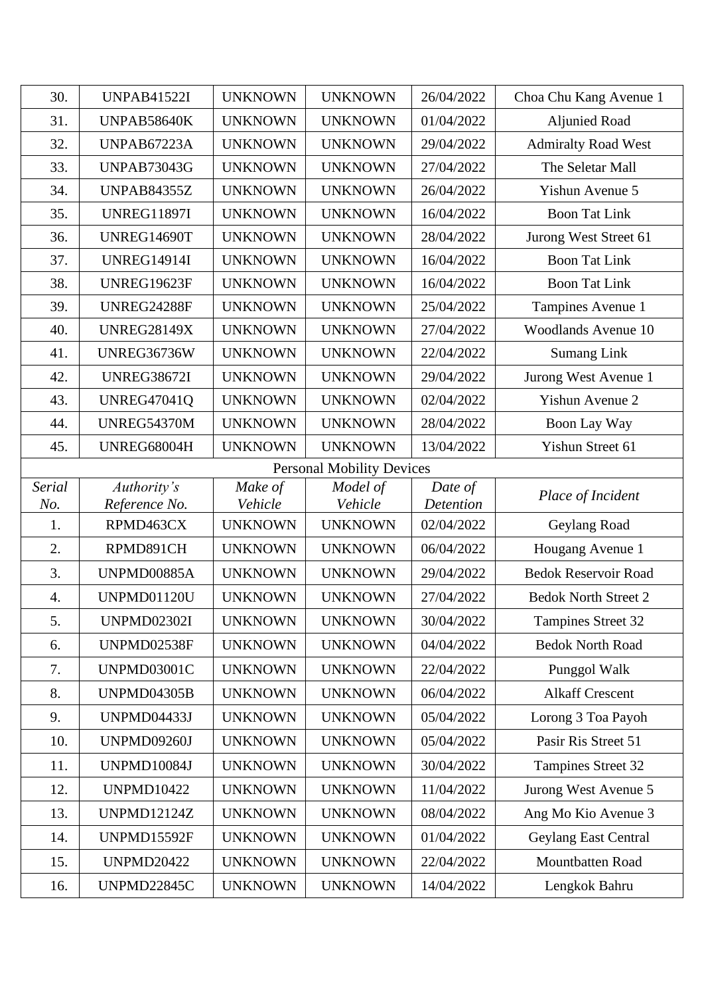| 30.              | <b>UNPAB41522I</b>               | <b>UNKNOWN</b>     | <b>UNKNOWN</b>      | 26/04/2022           | Choa Chu Kang Avenue 1      |  |  |  |
|------------------|----------------------------------|--------------------|---------------------|----------------------|-----------------------------|--|--|--|
| 31.              | UNPAB58640K                      | <b>UNKNOWN</b>     | <b>UNKNOWN</b>      | 01/04/2022           | <b>Aljunied Road</b>        |  |  |  |
| 32.              | <b>UNPAB67223A</b>               | <b>UNKNOWN</b>     | <b>UNKNOWN</b>      | 29/04/2022           | <b>Admiralty Road West</b>  |  |  |  |
| 33.              | <b>UNPAB73043G</b>               | <b>UNKNOWN</b>     | <b>UNKNOWN</b>      | 27/04/2022           | The Seletar Mall            |  |  |  |
| 34.              | <b>UNPAB84355Z</b>               | <b>UNKNOWN</b>     | <b>UNKNOWN</b>      | 26/04/2022           | Yishun Avenue 5             |  |  |  |
| 35.              | <b>UNREG11897I</b>               | <b>UNKNOWN</b>     | <b>UNKNOWN</b>      | 16/04/2022           | <b>Boon Tat Link</b>        |  |  |  |
| 36.              | UNREG14690T                      | <b>UNKNOWN</b>     | <b>UNKNOWN</b>      | 28/04/2022           | Jurong West Street 61       |  |  |  |
| 37.              | <b>UNREG14914I</b>               | <b>UNKNOWN</b>     | <b>UNKNOWN</b>      | 16/04/2022           | <b>Boon Tat Link</b>        |  |  |  |
| 38.              | <b>UNREG19623F</b>               | <b>UNKNOWN</b>     | <b>UNKNOWN</b>      | 16/04/2022           | <b>Boon Tat Link</b>        |  |  |  |
| 39.              | UNREG24288F                      | <b>UNKNOWN</b>     | <b>UNKNOWN</b>      | 25/04/2022           | Tampines Avenue 1           |  |  |  |
| 40.              | <b>UNREG28149X</b>               | <b>UNKNOWN</b>     | <b>UNKNOWN</b>      | 27/04/2022           | <b>Woodlands Avenue 10</b>  |  |  |  |
| 41.              | UNREG36736W                      | <b>UNKNOWN</b>     | <b>UNKNOWN</b>      | 22/04/2022           | <b>Sumang Link</b>          |  |  |  |
| 42.              | <b>UNREG38672I</b>               | <b>UNKNOWN</b>     | <b>UNKNOWN</b>      | 29/04/2022           | Jurong West Avenue 1        |  |  |  |
| 43.              | <b>UNREG47041Q</b>               | <b>UNKNOWN</b>     | <b>UNKNOWN</b>      | 02/04/2022           | Yishun Avenue 2             |  |  |  |
| 44.              | <b>UNREG54370M</b>               | <b>UNKNOWN</b>     | <b>UNKNOWN</b>      | 28/04/2022           | Boon Lay Way                |  |  |  |
| 45.              | UNREG68004H                      | <b>UNKNOWN</b>     | <b>UNKNOWN</b>      | 13/04/2022           | Yishun Street 61            |  |  |  |
|                  | <b>Personal Mobility Devices</b> |                    |                     |                      |                             |  |  |  |
| Serial<br>No.    | Authority's<br>Reference No.     | Make of<br>Vehicle | Model of<br>Vehicle | Date of<br>Detention | Place of Incident           |  |  |  |
| 1.               | RPMD463CX                        | <b>UNKNOWN</b>     | <b>UNKNOWN</b>      | 02/04/2022           | Geylang Road                |  |  |  |
| 2.               | RPMD891CH                        | <b>UNKNOWN</b>     | <b>UNKNOWN</b>      | 06/04/2022           | Hougang Avenue 1            |  |  |  |
| 3.               | UNPMD00885A                      | <b>UNKNOWN</b>     | <b>UNKNOWN</b>      | 29/04/2022           | <b>Bedok Reservoir Road</b> |  |  |  |
| $\overline{4}$ . | <b>UNPMD01120U</b>               | <b>UNKNOWN</b>     | <b>UNKNOWN</b>      | 27/04/2022           | <b>Bedok North Street 2</b> |  |  |  |
| 5.               | <b>UNPMD02302I</b>               | <b>UNKNOWN</b>     | <b>UNKNOWN</b>      | 30/04/2022           | Tampines Street 32          |  |  |  |
| 6.               | UNPMD02538F                      | <b>UNKNOWN</b>     | <b>UNKNOWN</b>      | 04/04/2022           | <b>Bedok North Road</b>     |  |  |  |
| 7.               | UNPMD03001C                      | <b>UNKNOWN</b>     | <b>UNKNOWN</b>      | 22/04/2022           | Punggol Walk                |  |  |  |
| 8.               | <b>UNPMD04305B</b>               | <b>UNKNOWN</b>     | <b>UNKNOWN</b>      | 06/04/2022           | <b>Alkaff Crescent</b>      |  |  |  |
| 9.               | <b>UNPMD04433J</b>               | <b>UNKNOWN</b>     | <b>UNKNOWN</b>      | 05/04/2022           | Lorong 3 Toa Payoh          |  |  |  |
| 10.              | <b>UNPMD09260J</b>               | <b>UNKNOWN</b>     | <b>UNKNOWN</b>      | 05/04/2022           | Pasir Ris Street 51         |  |  |  |
| 11.              | <b>UNPMD10084J</b>               | <b>UNKNOWN</b>     | <b>UNKNOWN</b>      | 30/04/2022           | Tampines Street 32          |  |  |  |
| 12.              | <b>UNPMD10422</b>                | <b>UNKNOWN</b>     | <b>UNKNOWN</b>      | 11/04/2022           | Jurong West Avenue 5        |  |  |  |
| 13.              | <b>UNPMD12124Z</b>               | <b>UNKNOWN</b>     | <b>UNKNOWN</b>      | 08/04/2022           | Ang Mo Kio Avenue 3         |  |  |  |
| 14.              | UNPMD15592F                      | <b>UNKNOWN</b>     | <b>UNKNOWN</b>      | 01/04/2022           | Geylang East Central        |  |  |  |
| 15.              |                                  |                    |                     |                      |                             |  |  |  |
|                  | <b>UNPMD20422</b>                | <b>UNKNOWN</b>     | <b>UNKNOWN</b>      | 22/04/2022           | Mountbatten Road            |  |  |  |